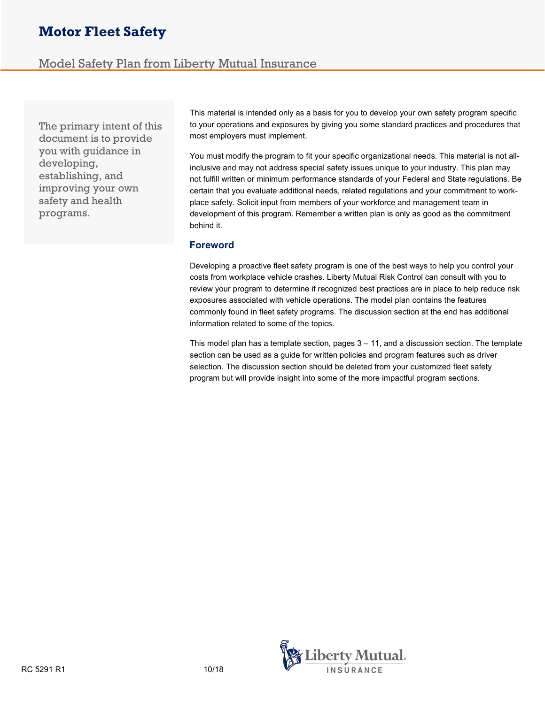# Motor Fleet Safety

# Model Safety Plan from Liberty Mutual Insurance

The primary intent of this document is to provide you with guidance in developing, establishing, and improving your own safety and health programs.

This material is intended only as a basis for you to develop your own safety program specific to your operations and exposures by giving you some standard practices and procedures that most employers must implement.

You must modify the program to fit your specific organizational needs. This material is not allinclusive and may not address special safety issues unique to your industry. This plan may not fulfill written or minimum performance standards of your Federal and State regulations. Be certain that you evaluate additional needs, related regulations and your commitment to workplace safety. Solicit input from members of your workforce and management team in development of this program. Remember a written plan is only as good as the commitment behind it.

## Foreword

Developing a proactive fleet safety program is one of the best ways to help you control your costs from workplace vehicle crashes. Liberty Mutual Risk Control can consult with you to review your program to determine if recognized best practices are in place to help reduce risk exposures associated with vehicle operations. The model plan contains the features commonly found in fleet safety programs. The discussion section at the end has additional information related to some of the topics.

This model plan has a template section, pages  $3 - 11$ , and a discussion section. The template section can be used as a guide for written policies and program features such as driver selection. The discussion section should be deleted from your customized fleet safety program but will provide insight into some of the more impactful program sections.

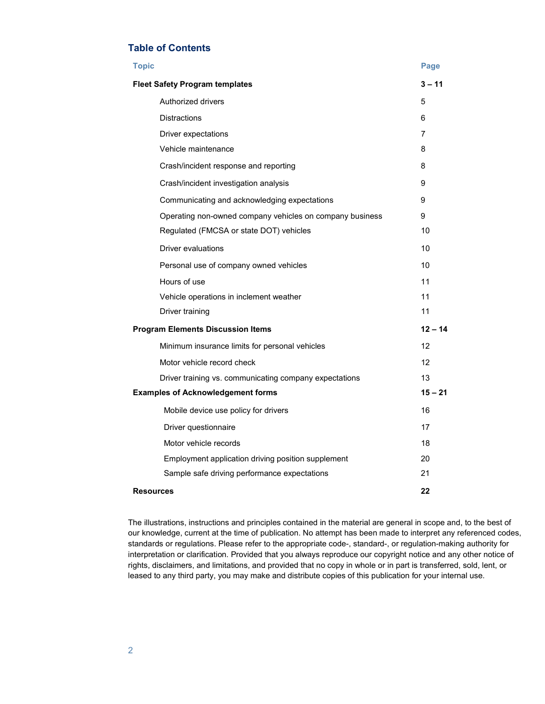## Table of Contents

| <b>Topic</b>                                             | Page      |  |  |  |
|----------------------------------------------------------|-----------|--|--|--|
| <b>Fleet Safety Program templates</b>                    | $3 - 11$  |  |  |  |
| Authorized drivers                                       | 5         |  |  |  |
| <b>Distractions</b>                                      | 6         |  |  |  |
| Driver expectations                                      | 7         |  |  |  |
| Vehicle maintenance                                      | 8         |  |  |  |
| Crash/incident response and reporting                    | 8         |  |  |  |
| Crash/incident investigation analysis                    | 9         |  |  |  |
| Communicating and acknowledging expectations             | 9         |  |  |  |
| Operating non-owned company vehicles on company business | 9         |  |  |  |
| Regulated (FMCSA or state DOT) vehicles                  | 10        |  |  |  |
| Driver evaluations                                       | 10        |  |  |  |
| Personal use of company owned vehicles                   | 10        |  |  |  |
| Hours of use                                             | 11        |  |  |  |
| Vehicle operations in inclement weather                  | 11        |  |  |  |
| Driver training                                          | 11        |  |  |  |
| <b>Program Elements Discussion Items</b>                 |           |  |  |  |
| Minimum insurance limits for personal vehicles           | 12        |  |  |  |
| Motor vehicle record check                               | 12        |  |  |  |
| Driver training vs. communicating company expectations   | 13        |  |  |  |
| <b>Examples of Acknowledgement forms</b>                 | $15 - 21$ |  |  |  |
| Mobile device use policy for drivers                     | 16        |  |  |  |
| Driver questionnaire                                     | 17        |  |  |  |
| Motor vehicle records                                    | 18        |  |  |  |
| Employment application driving position supplement       | 20        |  |  |  |
| Sample safe driving performance expectations             | 21        |  |  |  |
| <b>Resources</b>                                         | 22        |  |  |  |

The illustrations, instructions and principles contained in the material are general in scope and, to the best of our knowledge, current at the time of publication. No attempt has been made to interpret any referenced codes, standards or regulations. Please refer to the appropriate code-, standard-, or regulation-making authority for interpretation or clarification. Provided that you always reproduce our copyright notice and any other notice of rights, disclaimers, and limitations, and provided that no copy in whole or in part is transferred, sold, lent, or leased to any third party, you may make and distribute copies of this publication for your internal use.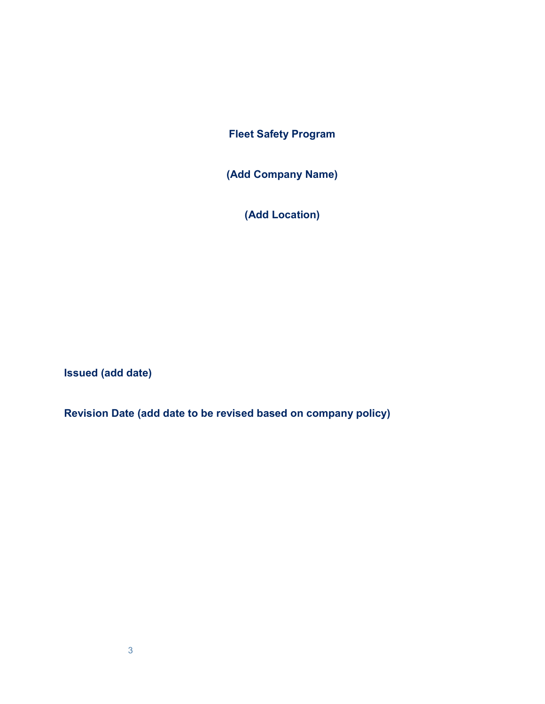Fleet Safety Program

(Add Company Name)

(Add Location)

Issued (add date)

Revision Date (add date to be revised based on company policy)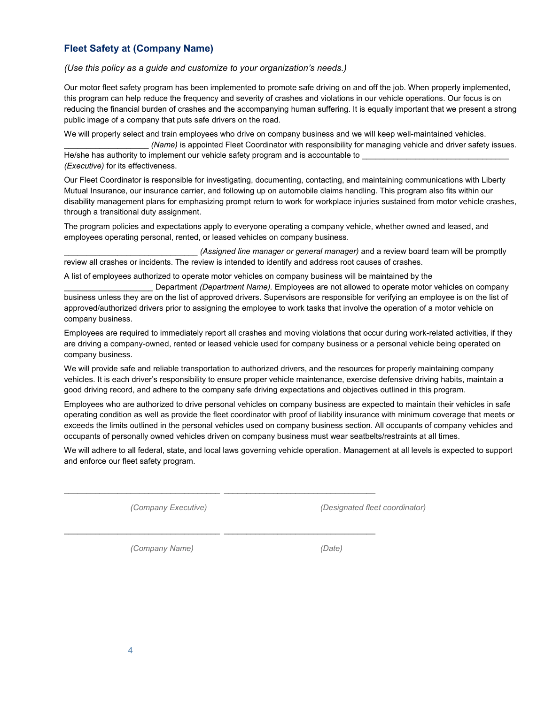# Fleet Safety at (Company Name)

## (Use this policy as a guide and customize to your organization's needs.)

Our motor fleet safety program has been implemented to promote safe driving on and off the job. When properly implemented, this program can help reduce the frequency and severity of crashes and violations in our vehicle operations. Our focus is on reducing the financial burden of crashes and the accompanying human suffering. It is equally important that we present a strong public image of a company that puts safe drivers on the road.

We will properly select and train employees who drive on company business and we will keep well-maintained vehicles.

(Name) is appointed Fleet Coordinator with responsibility for managing vehicle and driver safety issues. He/she has authority to implement our vehicle safety program and is accountable to (Executive) for its effectiveness.

Our Fleet Coordinator is responsible for investigating, documenting, contacting, and maintaining communications with Liberty Mutual Insurance, our insurance carrier, and following up on automobile claims handling. This program also fits within our disability management plans for emphasizing prompt return to work for workplace injuries sustained from motor vehicle crashes, through a transitional duty assignment.

The program policies and expectations apply to everyone operating a company vehicle, whether owned and leased, and employees operating personal, rented, or leased vehicles on company business.

(Assigned line manager or general manager) and a review board team will be promptly review all crashes or incidents. The review is intended to identify and address root causes of crashes.

A list of employees authorized to operate motor vehicles on company business will be maintained by the

Department (Department Name). Employees are not allowed to operate motor vehicles on company business unless they are on the list of approved drivers. Supervisors are responsible for verifying an employee is on the list of approved/authorized drivers prior to assigning the employee to work tasks that involve the operation of a motor vehicle on company business.

Employees are required to immediately report all crashes and moving violations that occur during work-related activities, if they are driving a company-owned, rented or leased vehicle used for company business or a personal vehicle being operated on company business.

We will provide safe and reliable transportation to authorized drivers, and the resources for properly maintaining company vehicles. It is each driver's responsibility to ensure proper vehicle maintenance, exercise defensive driving habits, maintain a good driving record, and adhere to the company safe driving expectations and objectives outlined in this program.

Employees who are authorized to drive personal vehicles on company business are expected to maintain their vehicles in safe operating condition as well as provide the fleet coordinator with proof of liability insurance with minimum coverage that meets or exceeds the limits outlined in the personal vehicles used on company business section. All occupants of company vehicles and occupants of personally owned vehicles driven on company business must wear seatbelts/restraints at all times.

We will adhere to all federal, state, and local laws governing vehicle operation. Management at all levels is expected to support and enforce our fleet safety program.

 $\_$  ,  $\_$  ,  $\_$  ,  $\_$  ,  $\_$  ,  $\_$  ,  $\_$  ,  $\_$  ,  $\_$  ,  $\_$  ,  $\_$  ,  $\_$  ,  $\_$  ,  $\_$  ,  $\_$  ,  $\_$  ,  $\_$  ,  $\_$  ,  $\_$ 

 $\_$  ,  $\_$  ,  $\_$  ,  $\_$  ,  $\_$  ,  $\_$  ,  $\_$  ,  $\_$  ,  $\_$  ,  $\_$  ,  $\_$  ,  $\_$  ,  $\_$  ,  $\_$  ,  $\_$  ,  $\_$  ,  $\_$  ,  $\_$  ,  $\_$ 

(Company Executive) (Designated fleet coordinator)

(Company Name) (Date)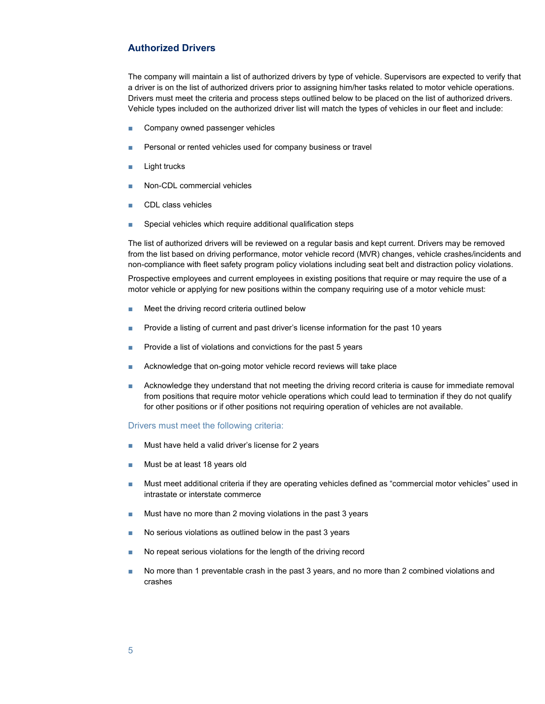## Authorized Drivers

The company will maintain a list of authorized drivers by type of vehicle. Supervisors are expected to verify that a driver is on the list of authorized drivers prior to assigning him/her tasks related to motor vehicle operations. Drivers must meet the criteria and process steps outlined below to be placed on the list of authorized drivers. Vehicle types included on the authorized driver list will match the types of vehicles in our fleet and include:

- Company owned passenger vehicles
- Personal or rented vehicles used for company business or travel
- Light trucks
- Non-CDL commercial vehicles
- CDL class vehicles
- Special vehicles which require additional qualification steps

The list of authorized drivers will be reviewed on a regular basis and kept current. Drivers may be removed from the list based on driving performance, motor vehicle record (MVR) changes, vehicle crashes/incidents and non-compliance with fleet safety program policy violations including seat belt and distraction policy violations.

Prospective employees and current employees in existing positions that require or may require the use of a motor vehicle or applying for new positions within the company requiring use of a motor vehicle must:

- Meet the driving record criteria outlined below
- Provide a listing of current and past driver's license information for the past 10 years
- Provide a list of violations and convictions for the past 5 years
- Acknowledge that on-going motor vehicle record reviews will take place
- Acknowledge they understand that not meeting the driving record criteria is cause for immediate removal from positions that require motor vehicle operations which could lead to termination if they do not qualify for other positions or if other positions not requiring operation of vehicles are not available.

#### Drivers must meet the following criteria:

- Must have held a valid driver's license for 2 years
- Must be at least 18 years old
- Must meet additional criteria if they are operating vehicles defined as "commercial motor vehicles" used in intrastate or interstate commerce
- Must have no more than 2 moving violations in the past 3 years
- No serious violations as outlined below in the past 3 years
- No repeat serious violations for the length of the driving record
- No more than 1 preventable crash in the past 3 years, and no more than 2 combined violations and crashes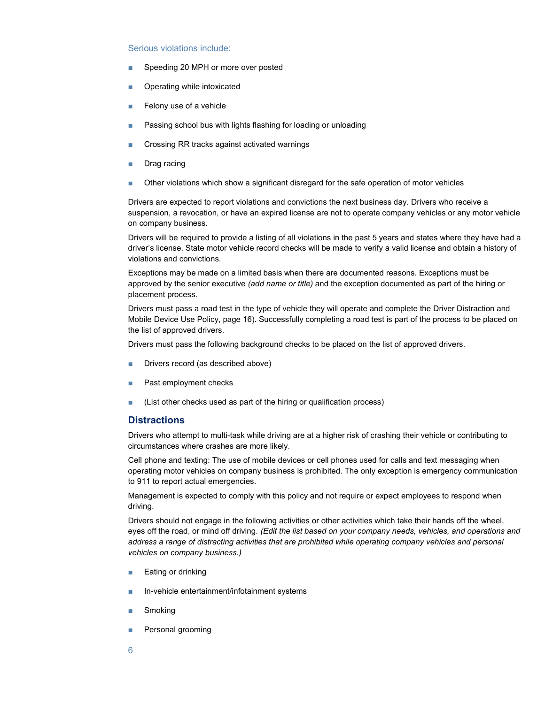#### Serious violations include:

- Speeding 20 MPH or more over posted
- Operating while intoxicated
- Felony use of a vehicle
- Passing school bus with lights flashing for loading or unloading
- Crossing RR tracks against activated warnings
- Drag racing
- Other violations which show a significant disregard for the safe operation of motor vehicles

Drivers are expected to report violations and convictions the next business day. Drivers who receive a suspension, a revocation, or have an expired license are not to operate company vehicles or any motor vehicle on company business.

Drivers will be required to provide a listing of all violations in the past 5 years and states where they have had a driver's license. State motor vehicle record checks will be made to verify a valid license and obtain a history of violations and convictions.

Exceptions may be made on a limited basis when there are documented reasons. Exceptions must be approved by the senior executive (add name or title) and the exception documented as part of the hiring or placement process.

Drivers must pass a road test in the type of vehicle they will operate and complete the Driver Distraction and Mobile Device Use Policy, page 16). Successfully completing a road test is part of the process to be placed on the list of approved drivers.

Drivers must pass the following background checks to be placed on the list of approved drivers.

- Drivers record (as described above)
- Past employment checks
- (List other checks used as part of the hiring or qualification process)

## **Distractions**

Drivers who attempt to multi-task while driving are at a higher risk of crashing their vehicle or contributing to circumstances where crashes are more likely.

Cell phone and texting: The use of mobile devices or cell phones used for calls and text messaging when operating motor vehicles on company business is prohibited. The only exception is emergency communication to 911 to report actual emergencies.

Management is expected to comply with this policy and not require or expect employees to respond when driving.

Drivers should not engage in the following activities or other activities which take their hands off the wheel, eyes off the road, or mind off driving. (Edit the list based on your company needs, vehicles, and operations and address a range of distracting activities that are prohibited while operating company vehicles and personal vehicles on company business.)

- Eating or drinking
- In-vehicle entertainment/infotainment systems
- Smoking
- Personal grooming
- 6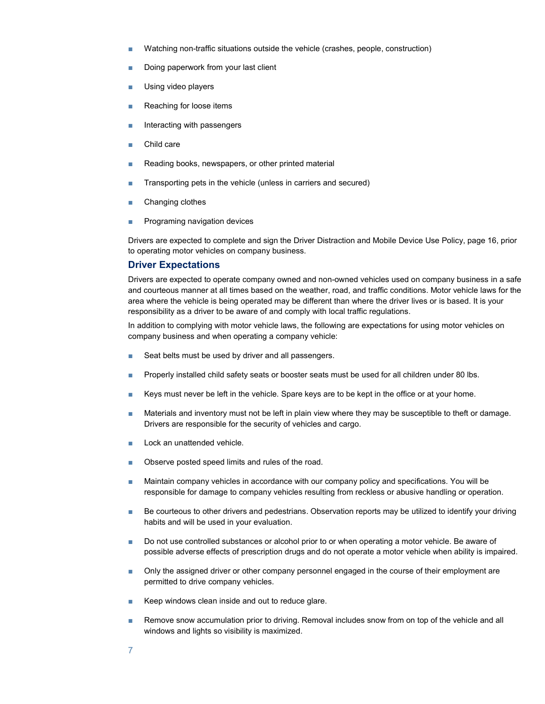- Watching non-traffic situations outside the vehicle (crashes, people, construction)
- Doing paperwork from your last client
- Using video players
- Reaching for loose items
- Interacting with passengers
- Child care
- Reading books, newspapers, or other printed material
- Transporting pets in the vehicle (unless in carriers and secured)
- Changing clothes
- Programing navigation devices

Drivers are expected to complete and sign the Driver Distraction and Mobile Device Use Policy, page 16, prior to operating motor vehicles on company business.

## Driver Expectations

Drivers are expected to operate company owned and non-owned vehicles used on company business in a safe and courteous manner at all times based on the weather, road, and traffic conditions. Motor vehicle laws for the area where the vehicle is being operated may be different than where the driver lives or is based. It is your responsibility as a driver to be aware of and comply with local traffic regulations.

In addition to complying with motor vehicle laws, the following are expectations for using motor vehicles on company business and when operating a company vehicle:

- Seat belts must be used by driver and all passengers.
- Properly installed child safety seats or booster seats must be used for all children under 80 lbs.
- Keys must never be left in the vehicle. Spare keys are to be kept in the office or at your home.
- Materials and inventory must not be left in plain view where they may be susceptible to theft or damage. Drivers are responsible for the security of vehicles and cargo.
- Lock an unattended vehicle.
- Observe posted speed limits and rules of the road.
- Maintain company vehicles in accordance with our company policy and specifications. You will be responsible for damage to company vehicles resulting from reckless or abusive handling or operation.
- Be courteous to other drivers and pedestrians. Observation reports may be utilized to identify your driving habits and will be used in your evaluation.
- Do not use controlled substances or alcohol prior to or when operating a motor vehicle. Be aware of possible adverse effects of prescription drugs and do not operate a motor vehicle when ability is impaired.
- Only the assigned driver or other company personnel engaged in the course of their employment are permitted to drive company vehicles.
- Keep windows clean inside and out to reduce glare.
- Remove snow accumulation prior to driving. Removal includes snow from on top of the vehicle and all windows and lights so visibility is maximized.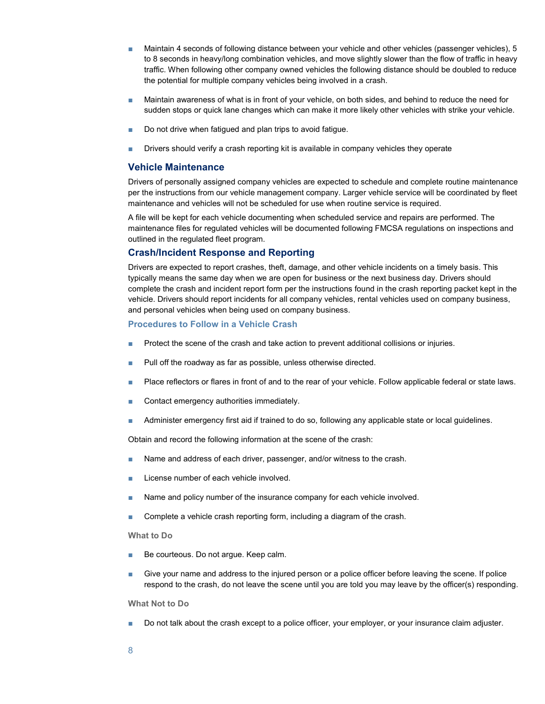- Maintain 4 seconds of following distance between your vehicle and other vehicles (passenger vehicles), 5 to 8 seconds in heavy/long combination vehicles, and move slightly slower than the flow of traffic in heavy traffic. When following other company owned vehicles the following distance should be doubled to reduce the potential for multiple company vehicles being involved in a crash.
- Maintain awareness of what is in front of your vehicle, on both sides, and behind to reduce the need for sudden stops or quick lane changes which can make it more likely other vehicles with strike your vehicle.
- Do not drive when fatigued and plan trips to avoid fatigue.
- Drivers should verify a crash reporting kit is available in company vehicles they operate

#### Vehicle Maintenance

Drivers of personally assigned company vehicles are expected to schedule and complete routine maintenance per the instructions from our vehicle management company. Larger vehicle service will be coordinated by fleet maintenance and vehicles will not be scheduled for use when routine service is required.

A file will be kept for each vehicle documenting when scheduled service and repairs are performed. The maintenance files for regulated vehicles will be documented following FMCSA regulations on inspections and outlined in the regulated fleet program.

## Crash/Incident Response and Reporting

Drivers are expected to report crashes, theft, damage, and other vehicle incidents on a timely basis. This typically means the same day when we are open for business or the next business day. Drivers should complete the crash and incident report form per the instructions found in the crash reporting packet kept in the vehicle. Drivers should report incidents for all company vehicles, rental vehicles used on company business, and personal vehicles when being used on company business.

#### Procedures to Follow in a Vehicle Crash

- Protect the scene of the crash and take action to prevent additional collisions or injuries.
- Pull off the roadway as far as possible, unless otherwise directed.
- Place reflectors or flares in front of and to the rear of your vehicle. Follow applicable federal or state laws.
- Contact emergency authorities immediately.
- Administer emergency first aid if trained to do so, following any applicable state or local guidelines.

Obtain and record the following information at the scene of the crash:

- Name and address of each driver, passenger, and/or witness to the crash.
- License number of each vehicle involved.
- Name and policy number of the insurance company for each vehicle involved.
- Complete a vehicle crash reporting form, including a diagram of the crash.

#### What to Do

- Be courteous. Do not arque. Keep calm.
- Give your name and address to the injured person or a police officer before leaving the scene. If police respond to the crash, do not leave the scene until you are told you may leave by the officer(s) responding.

#### What Not to Do

■ Do not talk about the crash except to a police officer, your employer, or your insurance claim adjuster.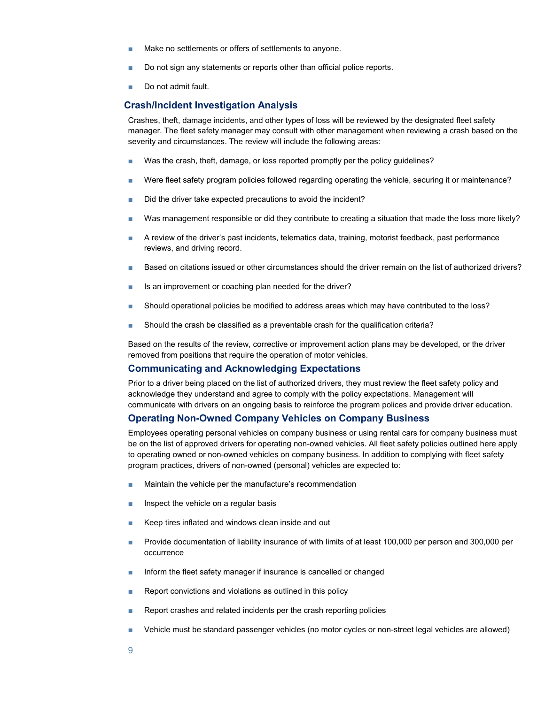- Make no settlements or offers of settlements to anyone.
- Do not sign any statements or reports other than official police reports.
- Do not admit fault.

#### Crash/Incident Investigation Analysis

Crashes, theft, damage incidents, and other types of loss will be reviewed by the designated fleet safety manager. The fleet safety manager may consult with other management when reviewing a crash based on the severity and circumstances. The review will include the following areas:

- Was the crash, theft, damage, or loss reported promptly per the policy guidelines?
- Were fleet safety program policies followed regarding operating the vehicle, securing it or maintenance?
- Did the driver take expected precautions to avoid the incident?
- Was management responsible or did they contribute to creating a situation that made the loss more likely?
- A review of the driver's past incidents, telematics data, training, motorist feedback, past performance reviews, and driving record.
- Based on citations issued or other circumstances should the driver remain on the list of authorized drivers?
- Is an improvement or coaching plan needed for the driver?
- Should operational policies be modified to address areas which may have contributed to the loss?
- Should the crash be classified as a preventable crash for the qualification criteria?

Based on the results of the review, corrective or improvement action plans may be developed, or the driver removed from positions that require the operation of motor vehicles.

### Communicating and Acknowledging Expectations

Prior to a driver being placed on the list of authorized drivers, they must review the fleet safety policy and acknowledge they understand and agree to comply with the policy expectations. Management will communicate with drivers on an ongoing basis to reinforce the program polices and provide driver education.

#### Operating Non-Owned Company Vehicles on Company Business

Employees operating personal vehicles on company business or using rental cars for company business must be on the list of approved drivers for operating non-owned vehicles. All fleet safety policies outlined here apply to operating owned or non-owned vehicles on company business. In addition to complying with fleet safety program practices, drivers of non-owned (personal) vehicles are expected to:

- Maintain the vehicle per the manufacture's recommendation
- Inspect the vehicle on a regular basis
- Keep tires inflated and windows clean inside and out
- Provide documentation of liability insurance of with limits of at least 100,000 per person and 300,000 per occurrence
- Inform the fleet safety manager if insurance is cancelled or changed
- Report convictions and violations as outlined in this policy
- Report crashes and related incidents per the crash reporting policies
- Vehicle must be standard passenger vehicles (no motor cycles or non-street legal vehicles are allowed)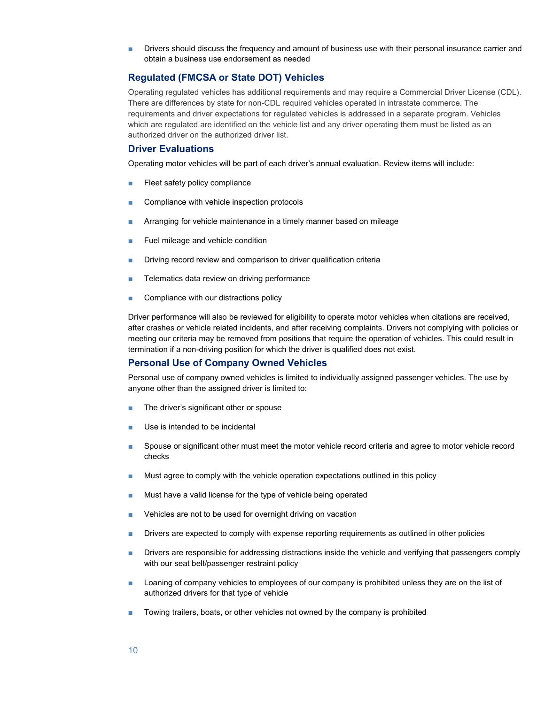■ Drivers should discuss the frequency and amount of business use with their personal insurance carrier and obtain a business use endorsement as needed

## Regulated (FMCSA or State DOT) Vehicles

Operating regulated vehicles has additional requirements and may require a Commercial Driver License (CDL). There are differences by state for non-CDL required vehicles operated in intrastate commerce. The requirements and driver expectations for regulated vehicles is addressed in a separate program. Vehicles which are regulated are identified on the vehicle list and any driver operating them must be listed as an authorized driver on the authorized driver list.

### Driver Evaluations

Operating motor vehicles will be part of each driver's annual evaluation. Review items will include:

- Fleet safety policy compliance
- Compliance with vehicle inspection protocols
- Arranging for vehicle maintenance in a timely manner based on mileage
- Fuel mileage and vehicle condition
- Driving record review and comparison to driver qualification criteria
- Telematics data review on driving performance
- Compliance with our distractions policy

Driver performance will also be reviewed for eligibility to operate motor vehicles when citations are received, after crashes or vehicle related incidents, and after receiving complaints. Drivers not complying with policies or meeting our criteria may be removed from positions that require the operation of vehicles. This could result in termination if a non-driving position for which the driver is qualified does not exist.

#### Personal Use of Company Owned Vehicles

Personal use of company owned vehicles is limited to individually assigned passenger vehicles. The use by anyone other than the assigned driver is limited to:

- The driver's significant other or spouse
- Use is intended to be incidental
- Spouse or significant other must meet the motor vehicle record criteria and agree to motor vehicle record checks
- Must agree to comply with the vehicle operation expectations outlined in this policy
- Must have a valid license for the type of vehicle being operated
- Vehicles are not to be used for overnight driving on vacation
- Drivers are expected to comply with expense reporting requirements as outlined in other policies
- Drivers are responsible for addressing distractions inside the vehicle and verifying that passengers comply with our seat belt/passenger restraint policy
- Loaning of company vehicles to employees of our company is prohibited unless they are on the list of authorized drivers for that type of vehicle
- Towing trailers, boats, or other vehicles not owned by the company is prohibited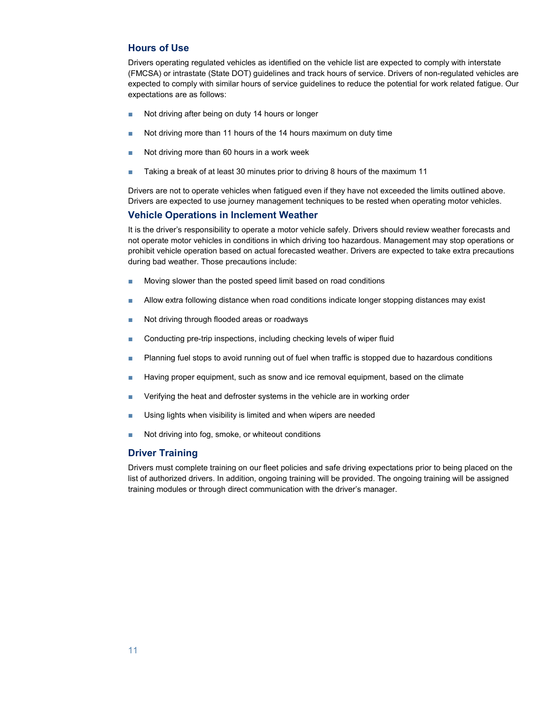## Hours of Use

Drivers operating regulated vehicles as identified on the vehicle list are expected to comply with interstate (FMCSA) or intrastate (State DOT) guidelines and track hours of service. Drivers of non-regulated vehicles are expected to comply with similar hours of service guidelines to reduce the potential for work related fatigue. Our expectations are as follows:

- Not driving after being on duty 14 hours or longer
- Not driving more than 11 hours of the 14 hours maximum on duty time
- Not driving more than 60 hours in a work week
- Taking a break of at least 30 minutes prior to driving 8 hours of the maximum 11

Drivers are not to operate vehicles when fatigued even if they have not exceeded the limits outlined above. Drivers are expected to use journey management techniques to be rested when operating motor vehicles.

## Vehicle Operations in Inclement Weather

It is the driver's responsibility to operate a motor vehicle safely. Drivers should review weather forecasts and not operate motor vehicles in conditions in which driving too hazardous. Management may stop operations or prohibit vehicle operation based on actual forecasted weather. Drivers are expected to take extra precautions during bad weather. Those precautions include:

- Moving slower than the posted speed limit based on road conditions
- Allow extra following distance when road conditions indicate longer stopping distances may exist
- Not driving through flooded areas or roadways
- Conducting pre-trip inspections, including checking levels of wiper fluid
- Planning fuel stops to avoid running out of fuel when traffic is stopped due to hazardous conditions
- Having proper equipment, such as snow and ice removal equipment, based on the climate
- Verifying the heat and defroster systems in the vehicle are in working order
- Using lights when visibility is limited and when wipers are needed
- Not driving into fog, smoke, or whiteout conditions

## Driver Training

Drivers must complete training on our fleet policies and safe driving expectations prior to being placed on the list of authorized drivers. In addition, ongoing training will be provided. The ongoing training will be assigned training modules or through direct communication with the driver's manager.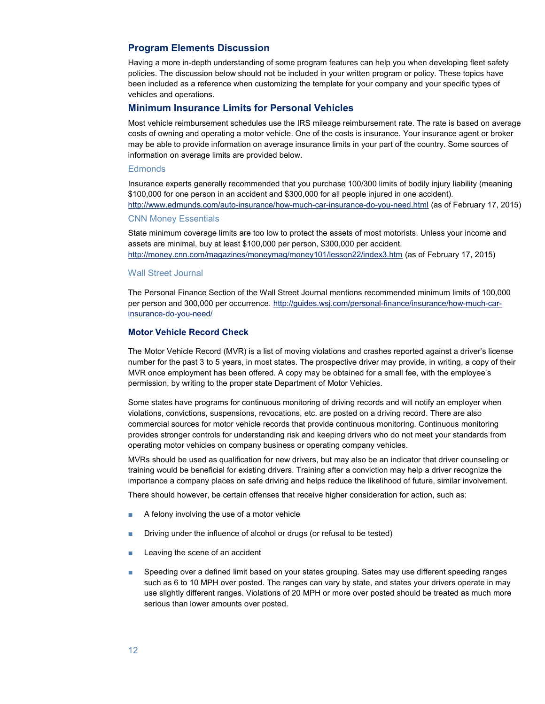## Program Elements Discussion

Having a more in-depth understanding of some program features can help you when developing fleet safety policies. The discussion below should not be included in your written program or policy. These topics have been included as a reference when customizing the template for your company and your specific types of vehicles and operations.

#### Minimum Insurance Limits for Personal Vehicles

Most vehicle reimbursement schedules use the IRS mileage reimbursement rate. The rate is based on average costs of owning and operating a motor vehicle. One of the costs is insurance. Your insurance agent or broker may be able to provide information on average insurance limits in your part of the country. Some sources of information on average limits are provided below.

#### **Edmonds**

Insurance experts generally recommended that you purchase 100/300 limits of bodily injury liability (meaning \$100,000 for one person in an accident and \$300,000 for all people injured in one accident). http://www.edmunds.com/auto-insurance/how-much-car-insurance-do-you-need.html (as of February 17, 2015)

## CNN Money Essentials

State minimum coverage limits are too low to protect the assets of most motorists. Unless your income and assets are minimal, buy at least \$100,000 per person, \$300,000 per accident. http://money.cnn.com/magazines/moneymag/money101/lesson22/index3.htm (as of February 17, 2015)

#### Wall Street Journal

The Personal Finance Section of the Wall Street Journal mentions recommended minimum limits of 100,000 per person and 300,000 per occurrence. http://guides.wsj.com/personal-finance/insurance/how-much-carinsurance-do-you-need/

#### Motor Vehicle Record Check

The Motor Vehicle Record (MVR) is a list of moving violations and crashes reported against a driver's license number for the past 3 to 5 years, in most states. The prospective driver may provide, in writing, a copy of their MVR once employment has been offered. A copy may be obtained for a small fee, with the employee's permission, by writing to the proper state Department of Motor Vehicles.

Some states have programs for continuous monitoring of driving records and will notify an employer when violations, convictions, suspensions, revocations, etc. are posted on a driving record. There are also commercial sources for motor vehicle records that provide continuous monitoring. Continuous monitoring provides stronger controls for understanding risk and keeping drivers who do not meet your standards from operating motor vehicles on company business or operating company vehicles.

MVRs should be used as qualification for new drivers, but may also be an indicator that driver counseling or training would be beneficial for existing drivers. Training after a conviction may help a driver recognize the importance a company places on safe driving and helps reduce the likelihood of future, similar involvement.

There should however, be certain offenses that receive higher consideration for action, such as:

- A felony involving the use of a motor vehicle
- Driving under the influence of alcohol or drugs (or refusal to be tested)
- Leaving the scene of an accident
- Speeding over a defined limit based on your states grouping. Sates may use different speeding ranges such as 6 to 10 MPH over posted. The ranges can vary by state, and states your drivers operate in may use slightly different ranges. Violations of 20 MPH or more over posted should be treated as much more serious than lower amounts over posted.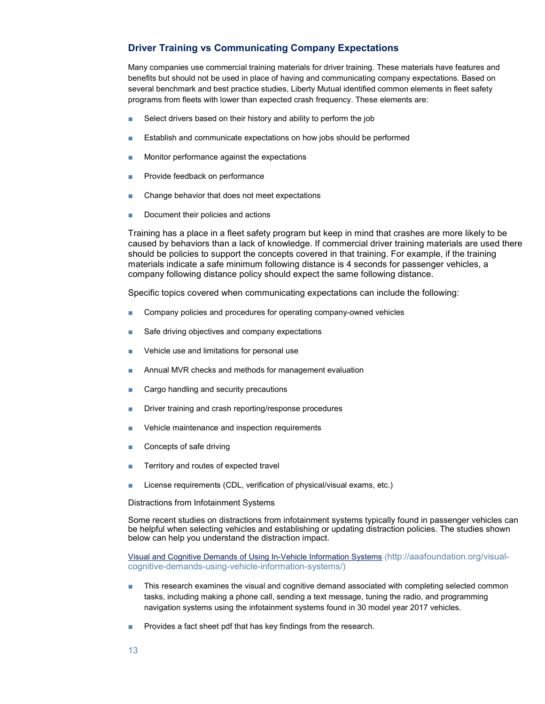## Driver Training vs Communicating Company Expectations

Many companies use commercial training materials for driver training. These materials have features and benefits but should not be used in place of having and communicating company expectations. Based on several benchmark and best practice studies, Liberty Mutual identified common elements in fleet safety programs from fleets with lower than expected crash frequency. These elements are:

- Select drivers based on their history and ability to perform the job
- Establish and communicate expectations on how jobs should be performed
- Monitor performance against the expectations
- Provide feedback on performance
- Change behavior that does not meet expectations
- Document their policies and actions

Training has a place in a fleet safety program but keep in mind that crashes are more likely to be caused by behaviors than a lack of knowledge. If commercial driver training materials are used there should be policies to support the concepts covered in that training. For example, if the training materials indicate a safe minimum following distance is 4 seconds for passenger vehicles, a company following distance policy should expect the same following distance.

Specific topics covered when communicating expectations can include the following:

- Company policies and procedures for operating company-owned vehicles
- Safe driving objectives and company expectations
- Vehicle use and limitations for personal use
- Annual MVR checks and methods for management evaluation
- Cargo handling and security precautions
- Driver training and crash reporting/response procedures
- Vehicle maintenance and inspection requirements
- Concepts of safe driving
- Territory and routes of expected travel
- License requirements (CDL, verification of physical/visual exams, etc.)

Distractions from Infotainment Systems

Some recent studies on distractions from infotainment systems typically found in passenger vehicles can be helpful when selecting vehicles and establishing or updating distraction policies. The studies shown below can help you understand the distraction impact.

Visual and Cognitive Demands of Using In-Vehicle Information Systems (http://aaafoundation.org/visualcognitive-demands-using-vehicle-information-systems/)

- This research examines the visual and cognitive demand associated with completing selected common tasks, including making a phone call, sending a text message, tuning the radio, and programming navigation systems using the infotainment systems found in 30 model year 2017 vehicles.
- Provides a fact sheet pdf that has key findings from the research.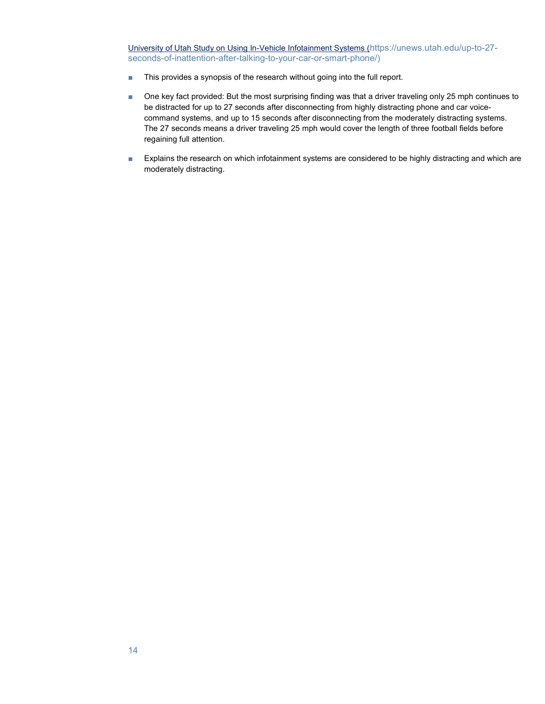University of Utah Study on Using In-Vehicle Infotainment Systems (https://unews.utah.edu/up-to-27 seconds-of-inattention-after-talking-to-your-car-or-smart-phone/)

- This provides a synopsis of the research without going into the full report.
- One key fact provided: But the most surprising finding was that a driver traveling only 25 mph continues to be distracted for up to 27 seconds after disconnecting from highly distracting phone and car voicecommand systems, and up to 15 seconds after disconnecting from the moderately distracting systems. The 27 seconds means a driver traveling 25 mph would cover the length of three football fields before regaining full attention.
- Explains the research on which infotainment systems are considered to be highly distracting and which are moderately distracting.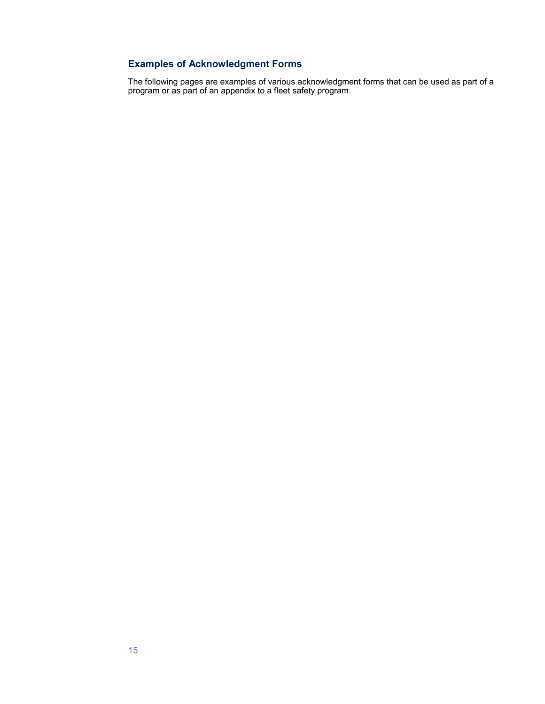# Examples of Acknowledgment Forms

The following pages are examples of various acknowledgment forms that can be used as part of a program or as part of an appendix to a fleet safety program.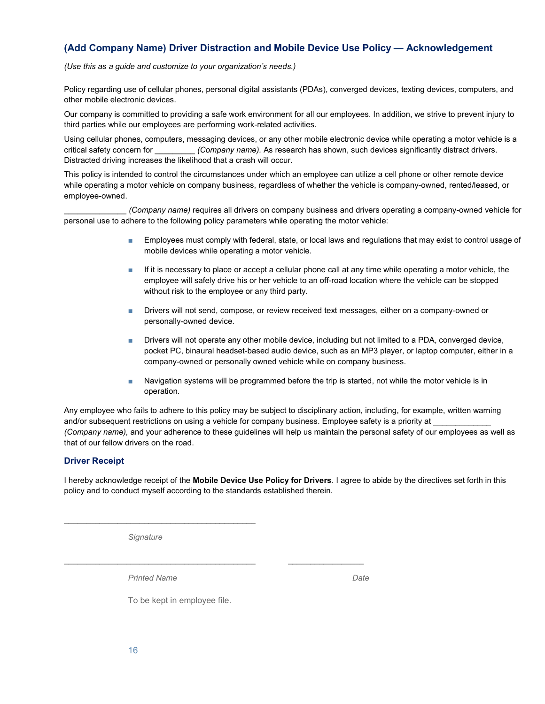# (Add Company Name) Driver Distraction and Mobile Device Use Policy — Acknowledgement

(Use this as a guide and customize to your organization's needs.)

Policy regarding use of cellular phones, personal digital assistants (PDAs), converged devices, texting devices, computers, and other mobile electronic devices.

Our company is committed to providing a safe work environment for all our employees. In addition, we strive to prevent injury to third parties while our employees are performing work-related activities.

Using cellular phones, computers, messaging devices, or any other mobile electronic device while operating a motor vehicle is a critical safety concern for  $(Company name)$ . As research has shown, such devices significantly distract drivers. Distracted driving increases the likelihood that a crash will occur.

This policy is intended to control the circumstances under which an employee can utilize a cell phone or other remote device while operating a motor vehicle on company business, regardless of whether the vehicle is company-owned, rented/leased, or employee-owned.

(Company name) requires all drivers on company business and drivers operating a company-owned vehicle for personal use to adhere to the following policy parameters while operating the motor vehicle:

- Employees must comply with federal, state, or local laws and regulations that may exist to control usage of mobile devices while operating a motor vehicle.
- If it is necessary to place or accept a cellular phone call at any time while operating a motor vehicle, the employee will safely drive his or her vehicle to an off-road location where the vehicle can be stopped without risk to the employee or any third party.
- Drivers will not send, compose, or review received text messages, either on a company-owned or personally-owned device.
- Drivers will not operate any other mobile device, including but not limited to a PDA, converged device, pocket PC, binaural headset-based audio device, such as an MP3 player, or laptop computer, either in a company-owned or personally owned vehicle while on company business.
- Navigation systems will be programmed before the trip is started, not while the motor vehicle is in operation.

Any employee who fails to adhere to this policy may be subject to disciplinary action, including, for example, written warning and/or subsequent restrictions on using a vehicle for company business. Employee safety is a priority at \_ (Company name), and your adherence to these guidelines will help us maintain the personal safety of our employees as well as that of our fellow drivers on the road.

## Driver Receipt

I hereby acknowledge receipt of the Mobile Device Use Policy for Drivers. I agree to abide by the directives set forth in this policy and to conduct myself according to the standards established therein.

**Signature** 

 $\overline{\phantom{a}}$  , and the set of the set of the set of the set of the set of the set of the set of the set of the set of the set of the set of the set of the set of the set of the set of the set of the set of the set of the s

Printed Name **Date** 

To be kept in employee file.

 $\frac{1}{2}$  ,  $\frac{1}{2}$  ,  $\frac{1}{2}$  ,  $\frac{1}{2}$  ,  $\frac{1}{2}$  ,  $\frac{1}{2}$  ,  $\frac{1}{2}$  ,  $\frac{1}{2}$  ,  $\frac{1}{2}$  ,  $\frac{1}{2}$  ,  $\frac{1}{2}$  ,  $\frac{1}{2}$  ,  $\frac{1}{2}$  ,  $\frac{1}{2}$  ,  $\frac{1}{2}$  ,  $\frac{1}{2}$  ,  $\frac{1}{2}$  ,  $\frac{1}{2}$  ,  $\frac{1$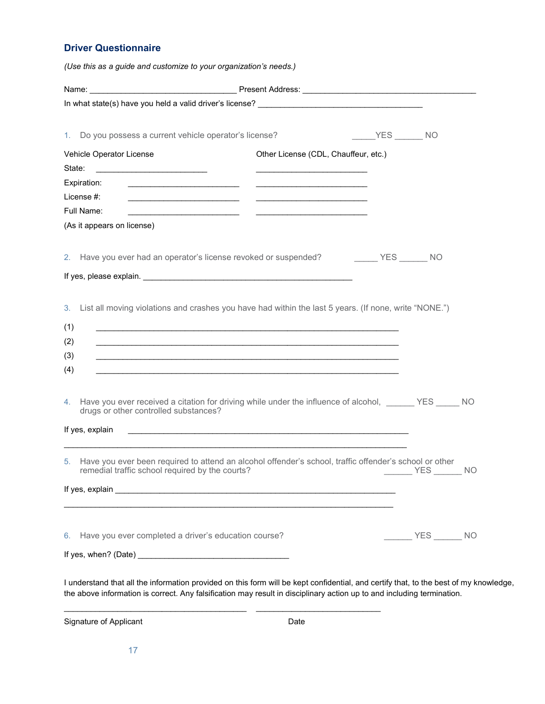## Driver Questionnaire

|                                                                                                                                                                                                                                | (Use this as a guide and customize to your organization's needs.)                                                                                                                                                                    |        |                 |  |  |  |  |  |
|--------------------------------------------------------------------------------------------------------------------------------------------------------------------------------------------------------------------------------|--------------------------------------------------------------------------------------------------------------------------------------------------------------------------------------------------------------------------------------|--------|-----------------|--|--|--|--|--|
|                                                                                                                                                                                                                                |                                                                                                                                                                                                                                      |        |                 |  |  |  |  |  |
|                                                                                                                                                                                                                                |                                                                                                                                                                                                                                      |        |                 |  |  |  |  |  |
| 1. Do you possess a current vehicle operator's license?                                                                                                                                                                        |                                                                                                                                                                                                                                      | VES NO |                 |  |  |  |  |  |
| Vehicle Operator License                                                                                                                                                                                                       | Other License (CDL, Chauffeur, etc.)                                                                                                                                                                                                 |        |                 |  |  |  |  |  |
| State:<br><u> 1980 - Andrea Andrew Maria (h. 1980).</u>                                                                                                                                                                        |                                                                                                                                                                                                                                      |        |                 |  |  |  |  |  |
| Expiration:                                                                                                                                                                                                                    |                                                                                                                                                                                                                                      |        |                 |  |  |  |  |  |
| License #:<br><u> 1990 - John Stone, amerikansk politiker (</u> † 1900)<br>Full Name:                                                                                                                                          |                                                                                                                                                                                                                                      |        |                 |  |  |  |  |  |
| <u> 2002 - Jan Barbarat, manazarta amerikan perang di pada 1990 - perang perang di pada 1990 - perang di pada 19</u><br>(As it appears on license)                                                                             | <u> The Communication of the Communication of the Communication of the Communication of the Communication of the Co</u>                                                                                                              |        |                 |  |  |  |  |  |
|                                                                                                                                                                                                                                |                                                                                                                                                                                                                                      |        |                 |  |  |  |  |  |
| 2. Have you ever had an operator's license revoked or suspended? __________ YES _______ NO                                                                                                                                     |                                                                                                                                                                                                                                      |        |                 |  |  |  |  |  |
| If yes, please explain. Notice that the set of year and the set of year and the set of the set of the set of the set of the set of the set of the set of the set of the set of the set of the set of the set of the set of the |                                                                                                                                                                                                                                      |        |                 |  |  |  |  |  |
| (2)<br>(3)<br>(4)<br>4. Have you ever received a citation for driving while under the influence of alcohol, _______ YES _____ NO                                                                                               | <u> 1989 - Jan Samuel Barbara, margaret a shekara ta 1989 - An tsara tsara tsara tsara tsara tsara tsara tsara ts</u>                                                                                                                |        |                 |  |  |  |  |  |
|                                                                                                                                                                                                                                |                                                                                                                                                                                                                                      |        |                 |  |  |  |  |  |
| drugs or other controlled substances?                                                                                                                                                                                          | <u>. In the second control of the second control of the second control of the second control of the second control of the second control of the second control of the second control of the second control of the second control</u> |        |                 |  |  |  |  |  |
| remedial traffic school required by the courts?                                                                                                                                                                                |                                                                                                                                                                                                                                      |        | NO <sub>N</sub> |  |  |  |  |  |
| If yes, explain<br>5. Have you ever been required to attend an alcohol offender's school, traffic offender's school or other                                                                                                   |                                                                                                                                                                                                                                      |        |                 |  |  |  |  |  |
| 6. Have you ever completed a driver's education course?                                                                                                                                                                        |                                                                                                                                                                                                                                      |        | $VES$ NO        |  |  |  |  |  |

Signature of Applicant **Date** 

 $\frac{1}{2}$  ,  $\frac{1}{2}$  ,  $\frac{1}{2}$  ,  $\frac{1}{2}$  ,  $\frac{1}{2}$  ,  $\frac{1}{2}$  ,  $\frac{1}{2}$  ,  $\frac{1}{2}$  ,  $\frac{1}{2}$  ,  $\frac{1}{2}$  ,  $\frac{1}{2}$  ,  $\frac{1}{2}$  ,  $\frac{1}{2}$  ,  $\frac{1}{2}$  ,  $\frac{1}{2}$  ,  $\frac{1}{2}$  ,  $\frac{1}{2}$  ,  $\frac{1}{2}$  ,  $\frac{1$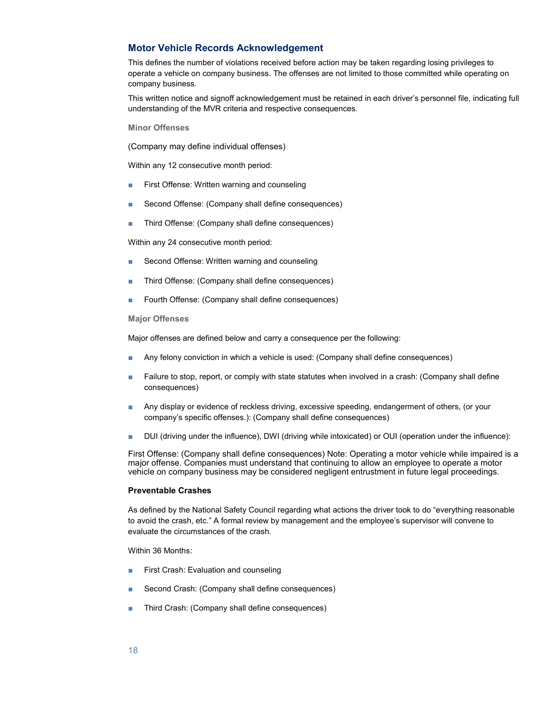## Motor Vehicle Records Acknowledgement

This defines the number of violations received before action may be taken regarding losing privileges to operate a vehicle on company business. The offenses are not limited to those committed while operating on company business.

This written notice and signoff acknowledgement must be retained in each driver's personnel file, indicating full understanding of the MVR criteria and respective consequences.

Minor Offenses

(Company may define individual offenses)

Within any 12 consecutive month period:

- First Offense: Written warning and counseling
- Second Offense: (Company shall define consequences)
- Third Offense: (Company shall define consequences)

Within any 24 consecutive month period:

- Second Offense: Written warning and counseling
- Third Offense: (Company shall define consequences)
- Fourth Offense: (Company shall define consequences)

#### Major Offenses

Major offenses are defined below and carry a consequence per the following:

- Any felony conviction in which a vehicle is used: (Company shall define consequences)
- Failure to stop, report, or comply with state statutes when involved in a crash: (Company shall define consequences)
- Any display or evidence of reckless driving, excessive speeding, endangerment of others, (or your company's specific offenses.): (Company shall define consequences)
- DUI (driving under the influence), DWI (driving while intoxicated) or OUI (operation under the influence):

First Offense: (Company shall define consequences) Note: Operating a motor vehicle while impaired is a major offense. Companies must understand that continuing to allow an employee to operate a motor vehicle on company business may be considered negligent entrustment in future legal proceedings.

#### Preventable Crashes

As defined by the National Safety Council regarding what actions the driver took to do "everything reasonable to avoid the crash, etc." A formal review by management and the employee's supervisor will convene to evaluate the circumstances of the crash.

Within 36 Months:

- First Crash: Evaluation and counseling
- Second Crash: (Company shall define consequences)
- Third Crash: (Company shall define consequences)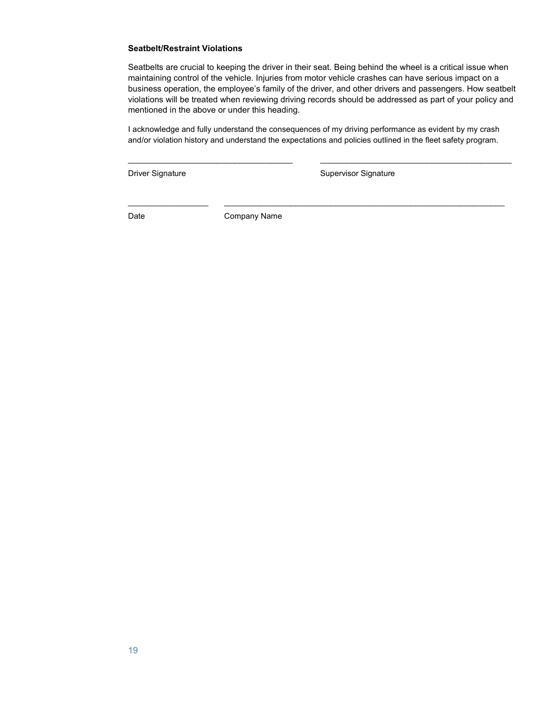#### Seatbelt/Restraint Violations

Seatbelts are crucial to keeping the driver in their seat. Being behind the wheel is a critical issue when maintaining control of the vehicle. Injuries from motor vehicle crashes can have serious impact on a business operation, the employee's family of the driver, and other drivers and passengers. How seatbelt violations will be treated when reviewing driving records should be addressed as part of your policy and mentioned in the above or under this heading.

I acknowledge and fully understand the consequences of my driving performance as evident by my crash and/or violation history and understand the expectations and policies outlined in the fleet safety program.

\_\_\_\_\_\_\_\_\_\_\_\_\_\_\_\_\_\_\_\_\_\_\_\_\_\_\_\_\_\_\_\_\_\_\_\_\_ \_\_\_\_\_\_\_\_\_\_\_\_\_\_\_\_\_\_\_\_\_\_\_\_\_\_\_\_\_\_\_\_\_\_\_\_\_\_\_\_\_\_\_

 $\mathcal{L}_\mathcal{L} = \{ \mathcal{L}_\mathcal{L} = \{ \mathcal{L}_\mathcal{L} = \{ \mathcal{L}_\mathcal{L} = \{ \mathcal{L}_\mathcal{L} = \{ \mathcal{L}_\mathcal{L} = \{ \mathcal{L}_\mathcal{L} = \{ \mathcal{L}_\mathcal{L} = \{ \mathcal{L}_\mathcal{L} = \{ \mathcal{L}_\mathcal{L} = \{ \mathcal{L}_\mathcal{L} = \{ \mathcal{L}_\mathcal{L} = \{ \mathcal{L}_\mathcal{L} = \{ \mathcal{L}_\mathcal{L} = \{ \mathcal{L}_\mathcal{$ 

Driver Signature **Supervisor Signature** Supervisor Signature

Date **Company Name**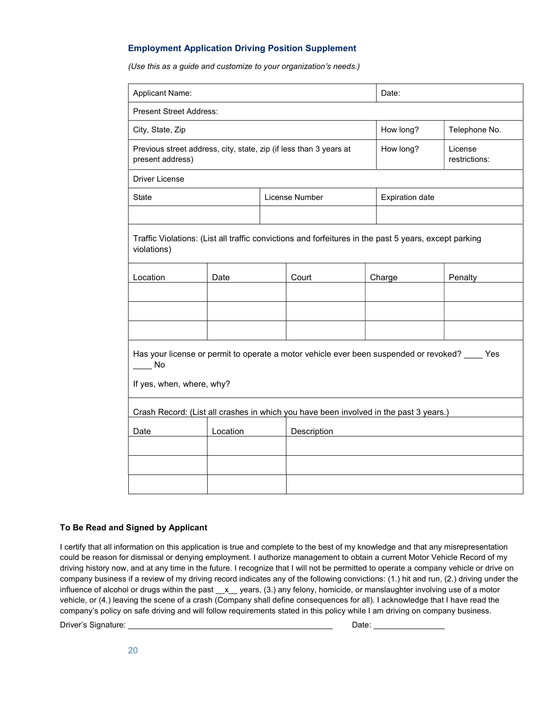## Employment Application Driving Position Supplement

(Use this as a guide and customize to your organization's needs.)

| Applicant Name:                                                                                                                     |          |                | Date:       |                          |                        |         |  |  |
|-------------------------------------------------------------------------------------------------------------------------------------|----------|----------------|-------------|--------------------------|------------------------|---------|--|--|
| <b>Present Street Address:</b>                                                                                                      |          |                |             |                          |                        |         |  |  |
| City, State, Zip                                                                                                                    |          |                | How long?   | Telephone No.            |                        |         |  |  |
| Previous street address, city, state, zip (if less than 3 years at<br>present address)                                              |          |                | How long?   | License<br>restrictions: |                        |         |  |  |
| <b>Driver License</b>                                                                                                               |          |                |             |                          |                        |         |  |  |
| <b>State</b>                                                                                                                        |          | License Number |             |                          | <b>Expiration date</b> |         |  |  |
|                                                                                                                                     |          |                |             |                          |                        |         |  |  |
| Traffic Violations: (List all traffic convictions and forfeitures in the past 5 years, except parking<br>violations)                |          |                |             |                          |                        |         |  |  |
| Location                                                                                                                            | Date     |                | Court       |                          | Charge                 | Penalty |  |  |
|                                                                                                                                     |          |                |             |                          |                        |         |  |  |
|                                                                                                                                     |          |                |             |                          |                        |         |  |  |
|                                                                                                                                     |          |                |             |                          |                        |         |  |  |
| Has your license or permit to operate a motor vehicle ever been suspended or revoked? _____ Yes<br>No.<br>If yes, when, where, why? |          |                |             |                          |                        |         |  |  |
| Crash Record: (List all crashes in which you have been involved in the past 3 years.)                                               |          |                |             |                          |                        |         |  |  |
| Date                                                                                                                                | Location |                | Description |                          |                        |         |  |  |
|                                                                                                                                     |          |                |             |                          |                        |         |  |  |
|                                                                                                                                     |          |                |             |                          |                        |         |  |  |
|                                                                                                                                     |          |                |             |                          |                        |         |  |  |

#### To Be Read and Signed by Applicant

I certify that all information on this application is true and complete to the best of my knowledge and that any misrepresentation could be reason for dismissal or denying employment. I authorize management to obtain a current Motor Vehicle Record of my driving history now, and at any time in the future. I recognize that I will not be permitted to operate a company vehicle or drive on company business if a review of my driving record indicates any of the following convictions: (1.) hit and run, (2.) driving under the influence of alcohol or drugs within the past x years, (3.) any felony, homicide, or manslaughter involving use of a motor vehicle, or (4.) leaving the scene of a crash (Company shall define consequences for all). I acknowledge that I have read the company's policy on safe driving and will follow requirements stated in this policy while I am driving on company business.

Driver's Signature: \_\_\_\_\_\_\_\_\_\_\_\_\_\_\_\_\_\_\_\_\_\_\_\_\_\_\_\_\_\_\_\_\_\_\_\_\_\_\_\_\_\_\_\_\_\_ Date: \_\_\_\_\_\_\_\_\_\_\_\_\_\_\_\_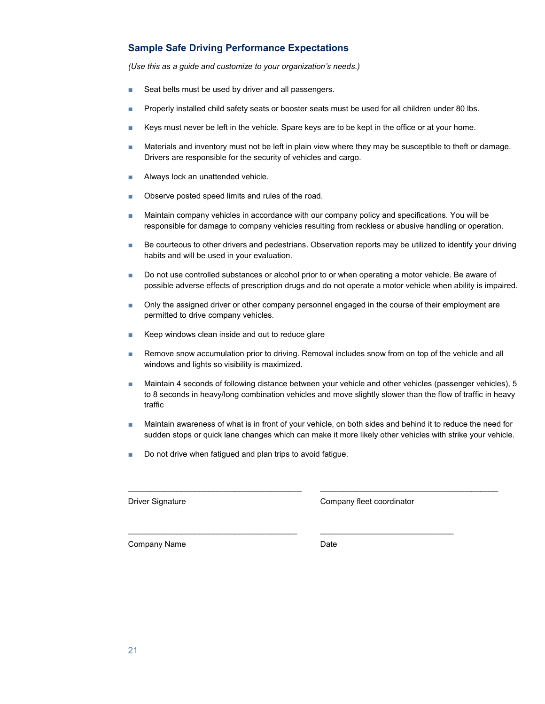# Sample Safe Driving Performance Expectations

(Use this as a guide and customize to your organization's needs.)

- Seat belts must be used by driver and all passengers.
- Properly installed child safety seats or booster seats must be used for all children under 80 lbs.
- Keys must never be left in the vehicle. Spare keys are to be kept in the office or at your home.
- Materials and inventory must not be left in plain view where they may be susceptible to theft or damage. Drivers are responsible for the security of vehicles and cargo.
- Always lock an unattended vehicle.
- Observe posted speed limits and rules of the road.
- Maintain company vehicles in accordance with our company policy and specifications. You will be responsible for damage to company vehicles resulting from reckless or abusive handling or operation.
- Be courteous to other drivers and pedestrians. Observation reports may be utilized to identify your driving habits and will be used in your evaluation.
- Do not use controlled substances or alcohol prior to or when operating a motor vehicle. Be aware of possible adverse effects of prescription drugs and do not operate a motor vehicle when ability is impaired.
- Only the assigned driver or other company personnel engaged in the course of their employment are permitted to drive company vehicles.
- Keep windows clean inside and out to reduce glare
- Remove snow accumulation prior to driving. Removal includes snow from on top of the vehicle and all windows and lights so visibility is maximized.
- Maintain 4 seconds of following distance between your vehicle and other vehicles (passenger vehicles), 5 to 8 seconds in heavy/long combination vehicles and move slightly slower than the flow of traffic in heavy traffic
- Maintain awareness of what is in front of your vehicle, on both sides and behind it to reduce the need for sudden stops or quick lane changes which can make it more likely other vehicles with strike your vehicle.

\_\_\_\_\_\_\_\_\_\_\_\_\_\_\_\_\_\_\_\_\_\_\_\_\_\_\_\_\_\_\_\_\_\_\_\_\_\_\_ \_\_\_\_\_\_\_\_\_\_\_\_\_\_\_\_\_\_\_\_\_\_\_\_\_\_\_\_\_\_\_\_\_\_\_\_\_\_\_\_

 $\frac{1}{2}$  ,  $\frac{1}{2}$  ,  $\frac{1}{2}$  ,  $\frac{1}{2}$  ,  $\frac{1}{2}$  ,  $\frac{1}{2}$  ,  $\frac{1}{2}$  ,  $\frac{1}{2}$  ,  $\frac{1}{2}$  ,  $\frac{1}{2}$  ,  $\frac{1}{2}$  ,  $\frac{1}{2}$  ,  $\frac{1}{2}$  ,  $\frac{1}{2}$  ,  $\frac{1}{2}$  ,  $\frac{1}{2}$  ,  $\frac{1}{2}$  ,  $\frac{1}{2}$  ,  $\frac{1$ 

■ Do not drive when fatigued and plan trips to avoid fatigue.

Driver Signature Company fleet coordinator

Company Name Date